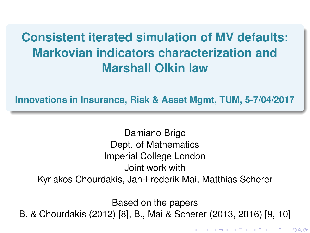## <span id="page-0-0"></span>**Consistent iterated simulation of MV defaults: Markovian indicators characterization and Marshall Olkin law**

**Innovations in Insurance, Risk & Asset Mgmt, TUM, 5-7/04/2017**

Damiano Brigo Dept. of Mathematics Imperial College London Joint work with Kyriakos Chourdakis, Jan-Frederik Mai, Matthias Scherer

Based on the papers B. & Chourdakis (2012) [\[8\]](#page-44-0), B., Mai & Scherer (2013, 2016) [\[9,](#page-45-0) [10\]](#page-45-1)

K ロ K K @ K K R X X R X → D R

つくへ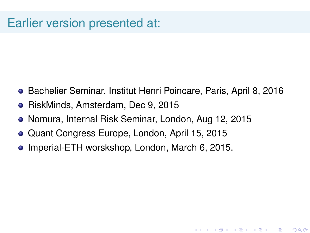### Earlier version presented at:

Bachelier Seminar, Institut Henri Poincare, Paris, April 8, 2016

★ ロ ▶ → 御 ▶ → 결 ▶ → 결 ▶ │ 결

 $299$ 

- RiskMinds, Amsterdam, Dec 9, 2015
- Nomura, Internal Risk Seminar, London, Aug 12, 2015
- Quant Congress Europe, London, April 15, 2015
- Imperial-ETH worskshop, London, March 6, 2015.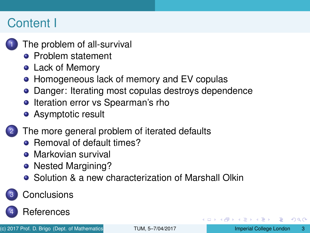### <span id="page-2-0"></span>Content I

- [The problem of all-survival](#page-3-0)
	- **[Problem statement](#page-3-0)**
	- **[Lack of Memory](#page-12-0)**
	- **[Homogeneous lack of memory and EV copulas](#page-17-0)**
	- **[Danger: Iterating most copulas destroys dependence](#page-21-0)**
	- **•** [Iteration error vs Spearman's rho](#page-25-0)
	- [Asymptotic result](#page-26-0)
- [The more general problem of iterated defaults](#page-28-0)
	- [Removal of default times?](#page-28-0)
	- **•** [Markovian survival](#page-29-0)
	- [Nested Margining?](#page-30-0)
	- **•** [Solution & a new characterization of Marshall Olkin](#page-31-0)

### **[Conclusions](#page-41-0)**



**[References](#page-43-0)** 

つひひ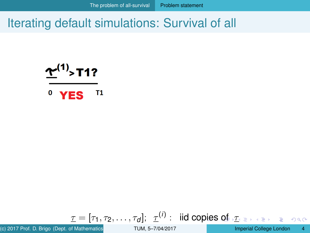<span id="page-3-0"></span>
$$
\underline{\Upsilon}^{(1)}\text{-}\mathsf{T1?}
$$

 $\bf{0}$ **T1 YES** 

$$
\underline{\tau}=[\tau_1,\tau_2,\ldots,\tau_d];\ \ \underline{\tau}^{(i)}:\ \ \text{iid copies of}\ \text{if}\ \text{exists}\ \text{else}
$$

(c) 2017 Prof. D. Brigo (Dept. of Mathematics **ICLO 1998** IMPERIES: Imperial College London 4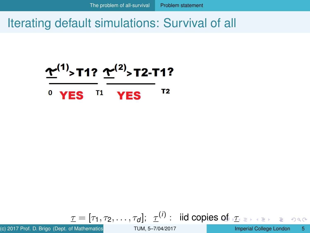<span id="page-4-0"></span>
$$
\underbrace{\underline{\Upsilon}^{(1)} > T1?}_{0} \underbrace{\underline{\Upsilon}^{(2)} > T2-T1?}_{YES}^{T2-T1?}
$$

$$
\mathbf{I}=[\tau_1,\tau_2,\ldots,\tau_d];\;\; \mathbf{I}^{(i)}:\;\;\text{iid copies of}\; \mathbf{I}_{\text{max}}\;\;\text{for}\;\;\mathbf{I}
$$

(c) 2017 Prof. D. Brigo (Dept. of Mathematics **ICL)** TUM, 5-7/04/2017 **Imperial College London 5**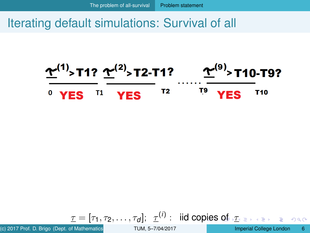<span id="page-5-0"></span>

$$
\underline{\tau}=[\tau_1,\tau_2,\ldots,\tau_d];\ \ \underline{\tau}^{(i)}:\ \ \text{iid copies of}\ \ \underline{\tau}_{\text{max}}\ \ \text{and}\ \ \underline{\tau}_{\text{max}}
$$

(c) 2017 Prof. D. Brigo (Dept. of Mathematics **ICLO 1998** IMPERIES: IMPERIES: Imperial College London 6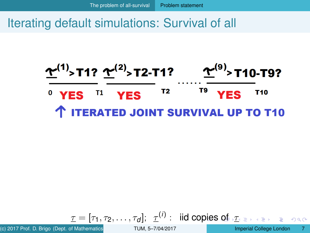<span id="page-6-0"></span>

$$
\underline{\tau}=[\tau_1,\tau_2,\ldots,\tau_d];\ \ \underline{\tau}^{(i)}:\ \ \text{iid copies of}\ \ \underline{\tau}\ \text{ is the set}
$$

(c) 2017 Prof. D. Brigo (Dept. of Mathematics **IGL) [TUM, 5–7/04/2017](#page-0-0)** Imperial College London 7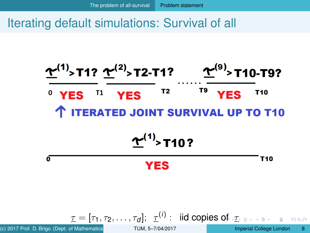<span id="page-7-0"></span>

$$
\underline{\tau}=[\tau_1,\tau_2,\ldots,\tau_d];\ \ \underline{\tau}^{(I)}:\ \ \text{iid copies of}\ \underline{\tau}\ \text{.}
$$

(c) 2017 Prof. D. Brigo (Dept. of Mathematics **IGL) [TUM, 5–7/04/2017](#page-0-0)** Imperial College London 8

(*i*)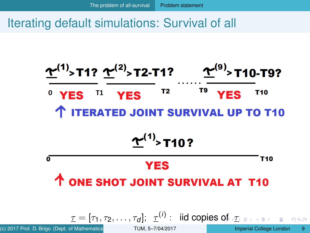<span id="page-8-0"></span>

(c) 2017 Prof. D. Brigo (Dept. of Mathematics **ICL) [TUM, 5–7/04/2017](#page-0-0)** Imperial College London 9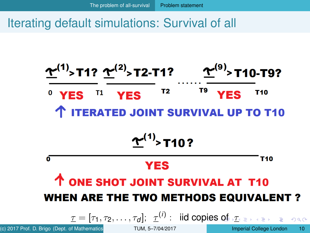<span id="page-9-0"></span>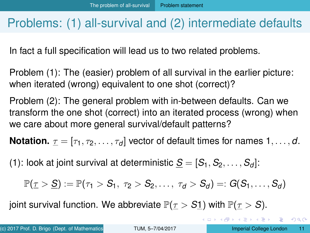### <span id="page-10-0"></span>Problems: (1) all-survival and (2) intermediate defaults

In fact a full specification will lead us to two related problems.

Problem (1): The (easier) problem of all survival in the earlier picture: when iterated (wrong) equivalent to one shot (correct)?

Problem (2): The general problem with in-between defaults. Can we transform the one shot (correct) into an iterated process (wrong) when we care about more general survival/default patterns?

**Notation.**  $\tau = [\tau_1, \tau_2, \dots, \tau_d]$  vector of default times for names 1, ..., d.

(1): look at joint survival at deterministic  $S = [S_1, S_2, \ldots, S_d]$ :

$$
\mathbb{P}(\underline{\tau} > \underline{S}) := \mathbb{P}(\tau_1 > S_1, \ \tau_2 > S_2, \ldots, \ \tau_d > S_d) =: G(S_1, \ldots, S_d)
$$

joint survival function. We abbreviate  $\mathbb{P}(\tau > S_1)$  with  $\mathbb{P}(\tau > S)$ .

KEL KALLARIN (RINGEL AGA)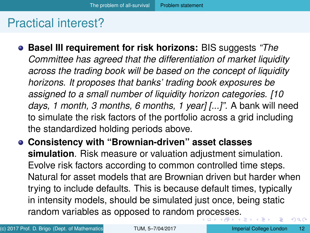### <span id="page-11-0"></span>Practical interest?

- **Basel III requirement for risk horizons:** BIS suggests *"The Committee has agreed that the differentiation of market liquidity across the trading book will be based on the concept of liquidity horizons. It proposes that banks' trading book exposures be assigned to a small number of liquidity horizon categories. [10 days, 1 month, 3 months, 6 months, 1 year] [...]".* A bank will need to simulate the risk factors of the portfolio across a grid including the standardized holding periods above.
- **Consistency with "Brownian-driven" asset classes simulation**. Risk measure or valuation adjustment simulation. Evolve risk factors according to common controlled time steps. Natural for asset models that are Brownian driven but harder when trying to include defaults. This is because default times, typically in intensity models, should be simulated just once, being static random variables as opposed to random [pro](#page-10-0)[ce](#page-12-0)[s](#page-10-0)[s](#page-11-0)[e](#page-12-0)[s.](#page-2-0)  $\Omega$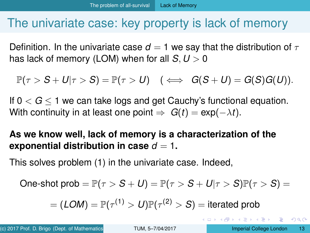### <span id="page-12-0"></span>The univariate case: key property is lack of memory

Definition. In the univariate case  $d = 1$  we say that the distribution of  $\tau$ has lack of memory (LOM) when for all  $S, U > 0$ 

$$
\mathbb{P}(\tau > S + U | \tau > S) = \mathbb{P}(\tau > U) \quad (\iff G(S + U) = G(S)G(U)).
$$

If  $0 < G < 1$  we can take logs and get Cauchy's functional equation. With continuity in at least one point  $\Rightarrow$   $G(t) = \exp(-\lambda t)$ .

**As we know well, lack of memory is a characterization of the exponential distribution in case**  $d = 1$ .

This solves problem (1) in the univariate case. Indeed,

One-shot prob = 
$$
\mathbb{P}(\tau > S + U) = \mathbb{P}(\tau > S + U | \tau > S)\mathbb{P}(\tau > S) =
$$

$$
= (LOM) = \mathbb{P}(\tau^{(1)} > U) \mathbb{P}(\tau^{(2)} > S) = \text{iterated prob}
$$

в

 $\Omega$ 

イロト イ押 トイラト イラトー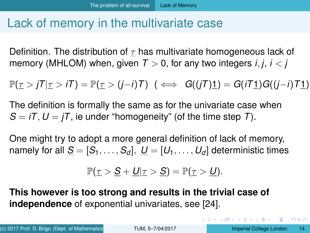### <span id="page-13-0"></span>Lack of memory in the multivariate case

Definition. The distribution of  $\tau$  has multivariate homogeneous lack of memory (MHLOM) when, given  $T > 0$ , for any two integers *i*, *j*, *i* < *j* 

 $\mathbb{P}(\tau > iT | \tau > iT) = \mathbb{P}(\tau > (i-i)T) \quad (\iff G((iT)1) = G(iT1)G((i-i)T1).$ 

The definition is formally the same as for the univariate case when  $S = iT$ ,  $U = iT$ , ie under "homogeneity" (of the time step *T*).

One might try to adopt a more general definition of lack of memory, namely for all  $S = [S_1, \ldots, S_d], U = [U_1, \ldots, U_d]$  deterministic times

$$
\mathbb{P}(\underline{\tau} > \underline{S} + \underline{U} | \underline{\tau} > \underline{S}) = \mathbb{P}(\underline{\tau} > \underline{U}).
$$

**This however is too strong and results in the trivial case of independence** of exponential univariates, see [\[24\]](#page-48-0).

 $QQ$ 

 $(1,1)$   $(1,1)$   $(1,1)$   $(1,1)$   $(1,1)$   $(1,1)$   $(1,1)$   $(1,1)$   $(1,1)$   $(1,1)$   $(1,1)$   $(1,1)$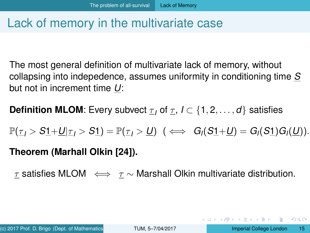### <span id="page-14-0"></span>Lack of memory in the multivariate case

The most general definition of multivariate lack of memory, without collapsing into indepedence, assumes uniformity in conditioning time *S* but not in increment time *U*:

**Definition MLOM:** Every subvect  $\underline{\tau}_I$  of  $\underline{\tau}_I$ ,  $I \subset \{1, 2, ..., d\}$  satisfies

 $\mathbb{P}(\tau_1 > S_1 + U | \tau_1 > S_1) = \mathbb{P}(\tau_1 > U)$  ( $\iff G_i(S_1 + U) = G_i(S_1)G_i(U)$ ).

### **Theorem (Marhall Olkin [\[24\]](#page-48-0)).**

 $τ$  satisfies MLOM  $\iff τ$  ∧ Marshall Olkin multivariate distribution.

KEL KALLARIN (RINGEL AGA)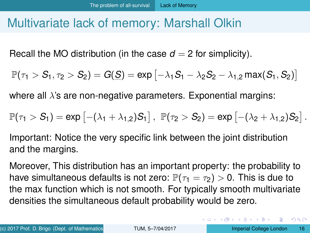### <span id="page-15-0"></span>Multivariate lack of memory: Marshall Olkin

Recall the MO distribution (in the case  $d = 2$  for simplicity).

$$
\mathbb{P}(\tau_1>S_1,\tau_2>S_2)=G(\underline{S})=exp\left[-\lambda_1 S_1-\lambda_2 S_2-\lambda_{1,2}\, max(S_1,S_2)\right]
$$

where all  $\lambda$ 's are non-negative parameters. Exponential margins:

$$
\mathbb{P}(\tau_1 > S_1) = \text{exp}\left[-(\lambda_1 + \lambda_{1,2})S_1\right], \ \mathbb{P}(\tau_2 > S_2) = \text{exp}\left[-(\lambda_2 + \lambda_{1,2})S_2\right].
$$

Important: Notice the very specific link between the joint distribution and the margins.

Moreover, This distribution has an important property: the probability to have simultaneous defaults is not zero:  $\mathbb{P}(\tau_1 = \tau_2) > 0$ . This is due to the max function which is not smooth. For typically smooth multivariate densities the simultaneous default probability would be zero.

в

 $\Omega$ 

イロト イ押 トイヨ トイヨ トー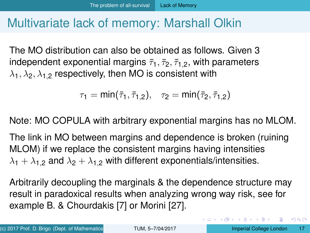### <span id="page-16-0"></span>Multivariate lack of memory: Marshall Olkin

The MO distribution can also be obtained as follows. Given 3 independent exponential margins  $\bar{\tau}_1$ ,  $\bar{\tau}_2$ ,  $\bar{\tau}_{1,2}$ , with parameters  $\lambda_1, \lambda_2, \lambda_{1,2}$  respectively, then MO is consistent with

$$
\tau_1=min(\bar\tau_1,\bar\tau_{1,2}),\quad \tau_2=min(\bar\tau_2,\bar\tau_{1,2})
$$

Note: MO COPULA with arbitrary exponential margins has no MLOM.

The link in MO between margins and dependence is broken (ruining MLOM) if we replace the consistent margins having intensities  $\lambda_1 + \lambda_{1,2}$  and  $\lambda_2 + \lambda_{1,2}$  with different exponentials/intensities.

Arbitrarily decoupling the marginals & the dependence structure may result in paradoxical results when analyzing wrong way risk, see for example B. & Chourdakis [\[7\]](#page-44-1) or Morini [\[27\]](#page-49-0).

в

 $\Omega$ 

4 0 8 4 4 9 8 4 9 8 4 9 8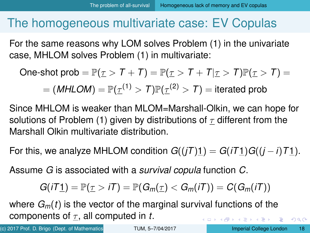<span id="page-17-0"></span>For the same reasons why LOM solves Problem (1) in the univariate case, MHLOM solves Problem (1) in multivariate:

One-shot prob =  $\mathbb{P}(\tau > T + T) = \mathbb{P}(\tau > T + T | \tau > T) \mathbb{P}(\tau > T) =$  $\mathcal{I} = (\textit{MHLOM}) = \mathbb{P}(\underline{\tau}^{(1)} > \mathcal{T}) \mathbb{P}(\underline{\tau}^{(2)} > \mathcal{T}) = \text{iterated prob}$ 

Since MHLOM is weaker than MLOM=Marshall-Olkin, we can hope for solutions of Problem (1) given by distributions of  $\tau$  different from the Marshall Olkin multivariate distribution.

For this, we analyze MHLOM condition  $G((iT)1) = G(iT1)G((i - i)T1)$ .

Assume *G* is associated with a *survival copula* function *C*.

$$
G(iT\underline{1})=\mathbb{P}(\underline{\tau}>iT)=\mathbb{P}(G_m(\underline{\tau})
$$

where  $G_m(t)$  is the vector of the marginal survival functions of the components of  $\tau$ , all computed in *t*. イロト イ押 トイラト イラト・ラー

(c) 2017 Prof. D. Brigo (Dept. of Mathematics **ICL) [TUM, 5–7/04/2017](#page-0-0)** Imperial College London 18

 $QQ$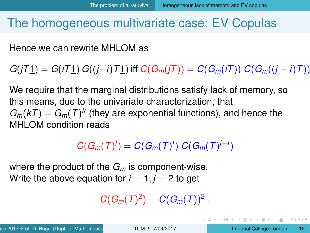<span id="page-18-0"></span>Hence we can rewrite MHLOM as

*G*(*jT*1) = *G*(*iT*1) *G*((*j*−*i*)*T*1) iff *C*(*G<sub><i>m*</sub>(*iT*)) = *C*(*G<sub><i>m*</sub>(*iT*)) *C*(*G<sub><i>m*</sub>((*j* − *i*)*T*))

We require that the marginal distributions satisfy lack of memory, so this means, due to the univariate characterization, that  $G_m(kT) = G_m(T)^k$  (they are exponential functions), and hence the MHI OM condition reads

 $C(G_m(T)^j) = C(G_m(T)^j) C(G_m(T)^{j-j})$ 

where the product of the *G<sup>m</sup>* is component-wise. Write the above equation for  $i = 1, j = 2$  to get

 $C(G_m(T)^2) = C(G_m(T))^2$ .

D.

 $\Omega$ 

( ロ ) ( 何 ) ( ヨ ) ( ヨ ) (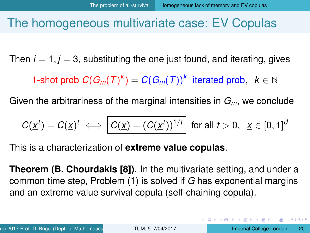<span id="page-19-0"></span>Then  $i = 1$ ,  $j = 3$ , substituting the one just found, and iterating, gives

1-shot prob  $C(G_m(T)^k) = C(G_m(T))^k$  iterated prob,  $k \in \mathbb{N}$ 

Given the arbitrariness of the marginal intensities in *Gm*, we conclude

$$
C(\underline{x}^t) = C(\underline{x})^t \iff \left| C(\underline{x}) = (C(\underline{x}^t))^{1/t} \right| \text{ for all } t > 0, \ \ \underline{x} \in [0, 1]^d
$$

This is a characterization of **extreme value copulas**.

**Theorem (B. Chourdakis [\[8\]](#page-44-0))**. In the multivariate setting, and under a common time step, Problem (1) is solved if *G* has exponential margins and an extreme value survival copula (self-chaining copula).

KET KALLA SI YE KE YA GA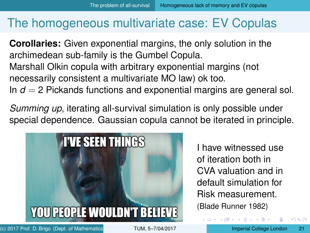<span id="page-20-0"></span>**Corollaries:** Given exponential margins, the only solution in the archimedean sub-family is the Gumbel Copula. Marshall Olkin copula with arbitrary exponential margins (not necessarily consistent a multivariate MO law) ok too. In  $d = 2$  Pickands functions and exponential margins are general sol.

*Summing up*, iterating all-survival simulation is only possible under special dependence. Gaussian copula cannot be iterated in principle.



I have witnessed use of iteration both in CVA valuation and in default simulation for Risk measurement. (Blade Runner 1982)

(ロトヨ母トヨヨトヨヨ)

(c) 2017 Prof. D. Brigo (Dept. of Mathematics **ICL) [TUM, 5–7/04/2017](#page-0-0)** Imperial College London 21

 $\Omega$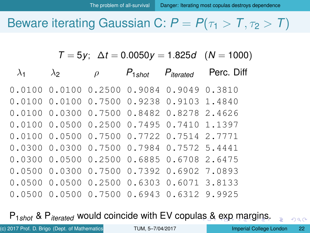### <span id="page-21-0"></span>Beware iterating Gaussian C:  $P = P(\tau_1 > T, \tau_2 > T)$

 $T = 5y$ ;  $\Delta t = 0.0050y = 1.825d$  (*N* = 1000)

| $\lambda_1$ | $\lambda$ 2 | $\rho$ | $P_{1shot}$ | $P_{iterated}$                                        | Perc. Diff |
|-------------|-------------|--------|-------------|-------------------------------------------------------|------------|
|             |             |        |             | $0.0100$ $0.0100$ $0.2500$ $0.9084$ $0.9049$ $0.3810$ |            |
|             |             |        |             | 0.0100 0.0100 0.7500 0.9238 0.9103 1.4840             |            |
|             |             |        |             | 0.0100 0.0300 0.7500 0.8482 0.8278 2.4626             |            |
|             |             |        |             | 0.0100 0.0500 0.2500 0.7495 0.7410 1.1397             |            |
|             |             |        |             | 0.0100 0.0500 0.7500 0.7722 0.7514 2.7771             |            |
|             |             |        |             | 0.0300 0.0300 0.7500 0.7984 0.7572 5.4441             |            |
|             |             |        |             | 0.0300 0.0500 0.2500 0.6885 0.6708 2.6475             |            |
|             |             |        |             | 0.0500 0.0300 0.7500 0.7392 0.6902 7.0893             |            |
|             |             |        |             | 0.0500 0.0500 0.2500 0.6303 0.6071 3.8133             |            |
|             |             |        |             | 0.0500 0.0500 0.7500 0.6943 0.6312 9.9925             |            |

P1*shot* & P*iterated* would coincide with EV copul[as](#page-20-0) [&](#page-22-0) [e](#page-20-0)[xp](#page-21-0) [m](#page-20-0)[a](#page-24-0)[r](#page-25-0)[gi](#page-2-0)[n](#page-3-0)[s](#page-27-0)[.](#page-28-0)

 $QQ$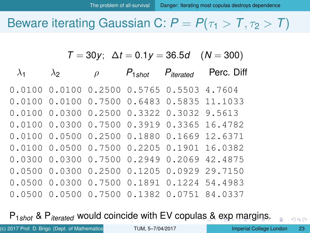### <span id="page-22-0"></span>Beware iterating Gaussian C:  $P = P(\tau_1 > T, \tau_2 > T)$

 $T = 30y$ ;  $\Delta t = 0.1y = 36.5d$  (*N* = 300)

 $\lambda_1$   $\lambda_2$   $\rho$   $P_{1shot}$   $P_{iterated}$  Perc. Diff 0.0100 0.0100 0.2500 0.5765 0.5503 4.7604 0.0100 0.0100 0.7500 0.6483 0.5835 11.1033 0.0100 0.0300 0.2500 0.3322 0.3032 9.5613 0.0100 0.0300 0.7500 0.3919 0.3365 16.4782 0.0100 0.0500 0.2500 0.1880 0.1669 12.6371 0.0100 0.0500 0.7500 0.2205 0.1901 16.0382 0.0300 0.0300 0.7500 0.2949 0.2069 42.4875 0.0500 0.0300 0.2500 0.1205 0.0929 29.7150 0.0500 0.0300 0.7500 0.1891 0.1224 54.4983 0.0500 0.0500 0.7500 0.1382 0.0751 84.0337

P1*shot* & P*iterated* would coincide with EV copul[as](#page-21-0) [&](#page-23-0) [e](#page-21-0)[xp](#page-22-0) [m](#page-20-0)[a](#page-24-0)[r](#page-25-0)[gi](#page-2-0)[n](#page-3-0)[s](#page-27-0)[.](#page-28-0)

 $QQ$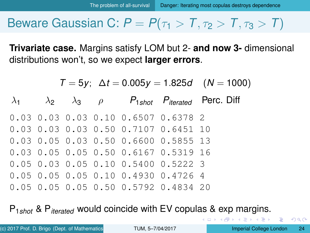### <span id="page-23-0"></span>**Beware Gaussian C:**  $P = P(\tau_1 > T, \tau_2 > T, \tau_3 > T)$

**Trivariate case.** Margins satisfy LOM but 2- **and now 3-** dimensional distributions won't, so we expect **larger errors**.

 $T = 5y$ ;  $\Delta t = 0.005y = 1.825d$  (*N* = 1000)  $\lambda_1$   $\lambda_2$   $\lambda_3$   $\rho$   $P_{1shot}$   $P_{iterated}$  Perc. Diff 0.03 0.03 0.03 0.10 0.6507 0.6378 2 0.03 0.03 0.03 0.50 0.7107 0.6451 10 0.03 0.05 0.03 0.50 0.6600 0.5855 13 0.03 0.05 0.05 0.50 0.6167 0.5319 16 0.05 0.03 0.05 0.10 0.5400 0.5222 3 0.05 0.05 0.05 0.10 0.4930 0.4726 4 0.05 0.05 0.05 0.50 0.5792 0.4834 20

P1*shot* & P*iterated* would coincide with EV copulas & exp margins.

4 ଲ ⊧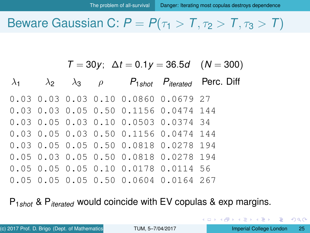### <span id="page-24-0"></span>**Beware Gaussian C:**  $P = P(\tau_1 > T, \tau_2 > T, \tau_3 > T)$

 $T = 30v$ ;  $\Delta t = 0.1v = 36.5d$  (*N* = 300)

 $\lambda_1$   $\lambda_2$   $\lambda_3$   $\rho$   $P_{1shot}$   $P_{iterated}$  Perc. Diff 0.03 0.03 0.03 0.10 0.0860 0.0679 27 0.03 0.03 0.05 0.50 0.1156 0.0474 144 0.03 0.05 0.03 0.10 0.0503 0.0374 34 0.03 0.05 0.03 0.50 0.1156 0.0474 144 0.03 0.05 0.05 0.50 0.0818 0.0278 194 0.05 0.03 0.05 0.50 0.0818 0.0278 194 0.05 0.05 0.05 0.10 0.0178 0.0114 56 0.05 0.05 0.05 0.50 0.0604 0.0164 267

P1*shot* & P*iterated* would coincide with EV copulas & exp margins.

G.

 $\Omega$ 

イロト イ押ト イヨト イヨトー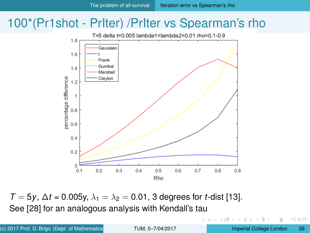### <span id="page-25-0"></span>100\*(Pr1shot - PrIter) /PrIter vs Spearman's rho



 $T = 5y$ ,  $\Delta t = 0.005y$ ,  $\lambda_1 = \lambda_2 = 0.01$ , 3 degrees for *t*-dist [\[13\]](#page-46-0). See [\[28\]](#page-49-1) for an analogous analysis with Kendall's tau

∍

 $299$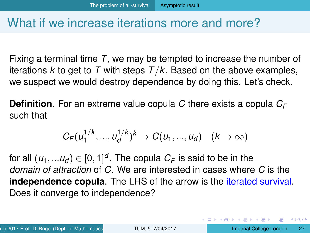### <span id="page-26-0"></span>What if we increase iterations more and more?

Fixing a terminal time *T*, we may be tempted to increase the number of iterations *k* to get to *T* with steps *T*/*k*. Based on the above examples, we suspect we would destroy dependence by doing this. Let's check.

**Definition**. For an extreme value copula *C* there exists a copula *C<sup>F</sup>* such that

$$
C_F(u_1^{1/k},...,u_d^{1/k})^k \to C(u_1,...,u_d) \quad (k \to \infty)
$$

for all  $(u_1,...u_d)\in[0,1]^d.$  The copula  $C_{\digamma}$  is said to be in the *domain of attraction* of *C*. We are interested in cases where *C* is the **independence copula**. The LHS of the arrow is the iterated survival. Does it converge to independence?

÷

 $\Omega$ 

イロト イ押 トイラト イラト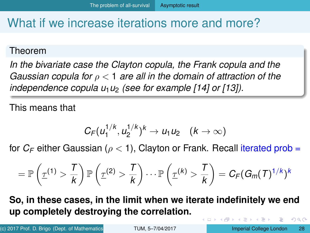### <span id="page-27-0"></span>What if we increase iterations more and more?

#### Theorem

*In the bivariate case the Clayton copula, the Frank copula and the Gaussian copula for* ρ < 1 *are all in the domain of attraction of the independence copula u<sub>1</sub>u<sub>2</sub> (see for example [\[14\]](#page-46-1) or [\[13\]](#page-46-0)).* 

This means that

$$
C_F(u_1^{1/k},u_2^{1/k})^k \to u_1u_2 \quad (k\to\infty)
$$

for  $C_F$  either Gaussian ( $\rho < 1$ ), Clayton or Frank. Recall iterated prob =

$$
=\mathbb{P}\left(\underline{\tau}^{(1)}>\frac{T}{k}\right)\mathbb{P}\left(\underline{\tau}^{(2)}>\frac{T}{k}\right)\cdots \mathbb{P}\left(\underline{\tau}^{(k)}>\frac{T}{k}\right)=C_{\digamma}(G_m(T)^{1/k})^k
$$

**So, in these cases, in the limit when we iterate indefinitely we end up completely destroying the correlation.** 4 **O E 4 AP E** 医单位 医单位  $\Omega$ 

(c) 2017 Prof. D. Brigo (Dept. of Mathematics **ICL) [TUM, 5–7/04/2017](#page-0-0)** Imperial College London 28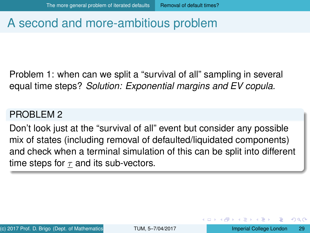### <span id="page-28-0"></span>A second and more-ambitious problem

Problem 1: when can we split a "survival of all" sampling in several equal time steps? *Solution: Exponential margins and EV copula.*

#### PROBLEM<sub>2</sub>

Don't look just at the "survival of all" event but consider any possible mix of states (including removal of defaulted/liquidated components) and check when a terminal simulation of this can be split into different time steps for  $\tau$  and its sub-vectors.

 $\Omega$ 

医下す 医下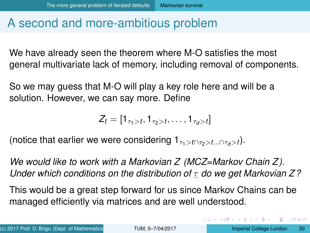### <span id="page-29-0"></span>A second and more-ambitious problem

We have already seen the theorem where M-O satisfies the most general multivariate lack of memory, including removal of components.

So we may guess that M-O will play a key role here and will be a solution. However, we can say more. Define

$$
Z_t = [1_{\tau_1>t}, 1_{\tau_2>t}, \ldots, 1_{\tau_d>t}]
$$

(notice that earlier we were considering  $1_{\tau_1>t\cap\tau_2>t\ldots\cap\tau_d>t}$ ).

*We would like to work with a Markovian Z (MCZ=Markov Chain Z ). Under which conditions on the distribution of* τ *do we get Markovian Z ?*

This would be a great step forward for us since Markov Chains can be managed efficiently via matrices and are well understood.

G.

 $\Omega$ 

4 0 8 4 5 8 4 5 8 4 5 8 1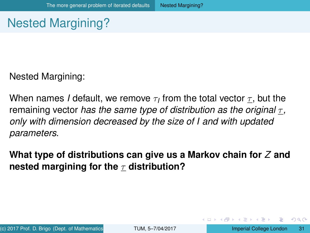## <span id="page-30-0"></span>Nested Margining?

Nested Margining:

When names *I* default, we remove  $\tau_I$  from the total vector  $\underline{\tau},$  but the remaining vector *has the same type of distribution as the original* τ *, only with dimension decreased by the size of I and with updated parameters*.

**What type of distributions can give us a Markov chain for** *Z* **and nested margining for the** *τ* **distribution?** 

∍

 $\Omega$ 

イロト イ押 トイラト イラト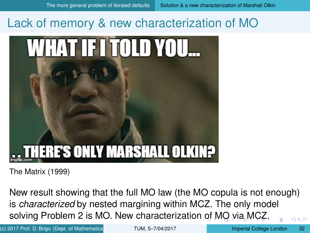### <span id="page-31-0"></span>Lack of memory & new characterization of MO



The Matrix (1999)

New result showing that the full MO law (the MO copula is not enough) is *characterized* by nested margining within MCZ. The only model solving Problem 2 is MO. New characterizatio[n o](#page-30-0)[f](#page-32-0) [M](#page-30-0)[O](#page-31-0) [v](#page-32-0)[i](#page-30-0)[a](#page-31-0)[M](#page-41-0)[C](#page-27-0)[Z](#page-40-0)[.](#page-41-0)  $0Q$ 

(c) 2017 Prof. D. Brigo (Dept. of Mathematics **ICL) [TUM, 5–7/04/2017](#page-0-0)** Imperial College London 32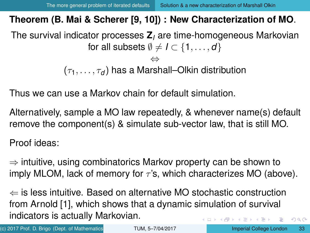### <span id="page-32-0"></span>**Theorem (B. Mai & Scherer [\[9,](#page-45-0) [10\]](#page-45-1)) : New Characterization of MO**.

The survival indicator processes **Z***<sup>I</sup>* are time-homogeneous Markovian for all subsets  $\emptyset \neq I \subset \{1, \ldots, d\}$ ⇔

 $(\tau_1, \ldots, \tau_d)$  has a Marshall–Olkin distribution

Thus we can use a Markov chain for default simulation.

Alternatively, sample a MO law repeatedly, & whenever name(s) default remove the component(s) & simulate sub-vector law, that is still MO.

Proof ideas:

 $\Rightarrow$  intuitive, using combinatorics Markov property can be shown to imply MLOM, lack of memory for  $\tau$ 's, which characterizes MO (above).

 $\Leftarrow$  is less intuitive. Based on alternative MO stochastic construction from Arnold [\[1\]](#page-43-1), which shows that a dynamic simulation of survival indicators is actually Markovian.  $\leftarrow$   $\Box$   $\rightarrow$   $\rightarrow$   $\Box$   $\rightarrow$   $\rightarrow$ E

(c) 2017 Prof. D. Brigo (Dept. of Mathematics **ICL) [TUM, 5–7/04/2017](#page-0-0)** Imperial College London 33

 $QQ$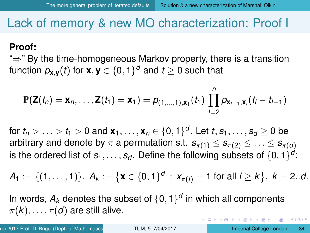### <span id="page-33-0"></span>Lack of memory & new MO characterization: Proof I

#### **Proof:**

"⇒" By the time-homogeneous Markov property, there is a transition function  $\rho_{\mathbf{x},\mathbf{y}}(t)$  for  $\mathbf{x},\mathbf{y}\in\{0,1\}^d$  and  $t\geq 0$  such that

$$
\mathbb{P}(\mathbf{Z}(t_n) = \mathbf{x}_n, \ldots, \mathbf{Z}(t_1) = \mathbf{x}_1) = p_{(1,\ldots,1),\mathbf{x}_1}(t_1) \prod_{l=2}^n p_{\mathbf{x}_{l-1},\mathbf{x}_l}(t_l - t_{l-1})
$$

for  $t_n > \ldots > t_1 > 0$  and  $\mathbf{x}_1, \ldots, \mathbf{x}_n \in \{0,1\}^d.$  Let  $t, s_1, \ldots, s_d \geq 0$  be arbitrary and denote by  $\pi$  a permutation s.t.  $s_{\pi(1)} \leq s_{\pi(2)} \leq \ldots \leq s_{\pi(d)}$ is the ordered list of  $s_1, \ldots, s_d.$  Define the following subsets of  $\{0,1\}^d$ :

$$
A_1:=\{(1,\ldots,1)\},\ A_k:=\big\{\textbf{x}\in\{0,1\}^d\,:\,x_{\pi(l)}=1\text{ for all }l\geq k\big\},\ k=2..d.
$$

In words,  $A_k$  denotes the subset of  $\{0,1\}^d$  in which all components  $\pi(k), \ldots, \pi(d)$  are still alive.

(c) 2017 Prof. D. Brigo (Dept. of Mathematics **ICL) [TUM, 5–7/04/2017](#page-0-0)** Imperial College London 34

 $\Omega$ 

 $(0,1)$   $(0,1)$   $(0,1)$   $(1,1)$   $(1,1)$   $(1,1)$   $(1,1)$   $(1,1)$   $(1,1)$   $(1,1)$   $(1,1)$   $(1,1)$   $(1,1)$   $(1,1)$   $(1,1)$   $(1,1)$   $(1,1)$   $(1,1)$   $(1,1)$   $(1,1)$   $(1,1)$   $(1,1)$   $(1,1)$   $(1,1)$   $(1,1)$   $(1,1)$   $(1,1)$   $(1,1$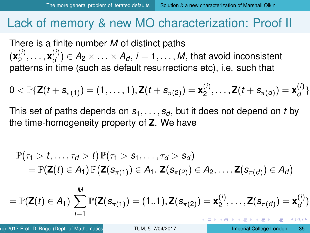### <span id="page-34-0"></span>Lack of memory & new MO characterization: Proof II

There is a finite number *M* of distinct paths  $({\bf x}_2^{(i)}$  $\mathbf{x}_2^{(i)}, \ldots, \mathbf{x}_d^{(i)}$  $\mathcal{A}_{d}^{(1)} \in A_2 \times \ldots \times A_d$ ,  $i = 1, \ldots, M$ , that avoid inconsistent patterns in time (such as default resurrections etc), i.e. such that

$$
0 < \mathbb{P}\{{\bf Z}(t+{\bf S}_{\pi(1)}) = (1,\ldots,1), {\bf Z}(t+{\bf S}_{\pi(2)}) = {\bf x}_2^{(i)},\ldots, {\bf Z}(t+{\bf S}_{\pi(d)}) = {\bf x}_d^{(i)}\}
$$

This set of paths depends on  $s_1, \ldots, s_d$ , but it does not depend on *t* by the time-homogeneity property of **Z**. We have

$$
\mathbb{P}(\tau_1 > t, \ldots, \tau_d > t) \mathbb{P}(\tau_1 > s_1, \ldots, \tau_d > s_d) \n= \mathbb{P}(\mathbf{Z}(t) \in A_1) \mathbb{P}(\mathbf{Z}(s_{\pi(1)}) \in A_1, \mathbf{Z}(s_{\pi(2)}) \in A_2, \ldots, \mathbf{Z}(s_{\pi(d)}) \in A_d)
$$

$$
= \mathbb{P}(\mathbf{Z}(t) \in A_1) \sum_{i=1}^M \mathbb{P}(\mathbf{Z}(s_{\pi(1)}) = (1..1), \mathbf{Z}(s_{\pi(2)}) = \mathbf{x}_2^{(i)}, \ldots, \mathbf{Z}(s_{\pi(d)}) = \mathbf{x}_d^{(i)}
$$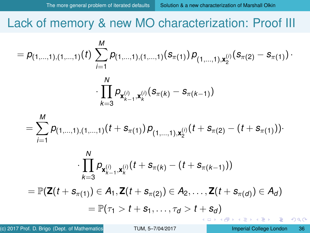<span id="page-35-0"></span>Lack of memory & new MO characterization: Proof III

$$
=p_{(1,\ldots,1),(1,\ldots,1)}(t)\sum_{i=1}^M p_{(1,\ldots,1),(1,\ldots,1)}(s_{\pi(1)})p_{(1,\ldots,1),\mathbf{x}_2^{(i)}}(s_{\pi(2)}-s_{\pi(1)})\cdot\\\cdot\prod_{k=3}^N p_{\mathbf{x}_{k-1}^{(i)},\mathbf{x}_k^{(i)}}(s_{\pi(k)}-s_{\pi(k-1)})
$$

$$
= \sum_{i=1}^M p_{(1,\ldots,1),(1,\ldots,1)}(t+s_{\pi(1)}) p_{(1,\ldots,1),\mathbf{x}_2^{(i)}}(t+s_{\pi(2)}-(t+s_{\pi(1)}))\cdot
$$

$$
\cdot \prod_{k=3}^N p_{\mathbf{x}_{k-1}^{(i)},\mathbf{x}_k^{(i)}}(t+s_{\pi(k)}-(t+s_{\pi(k-1)}))
$$

 $\mathcal{L} = \mathbb{P}(\mathsf{Z}(t + s_{\pi(1)}) \in A_1, \mathsf{Z}(t + s_{\pi(2)}) \in A_2, \ldots, \mathsf{Z}(t + s_{\pi(d)}) \in A_d)$  $= \mathbb{P}(\tau_1 > t + s_1, \ldots, \tau_d > t + s_d)$ 

*N*

 $\Omega$ 

(ロトヨ母トヨヨトヨヨ)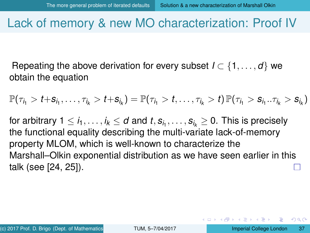### <span id="page-36-0"></span>Lack of memory & new MO characterization: Proof IV

Repeating the above derivation for every subset  $I \subset \{1, \ldots, d\}$  we obtain the equation

$$
\mathbb{P}(\tau_{i_1} > t + s_{i_1}, \ldots, \tau_{i_k} > t + s_{i_k}) = \mathbb{P}(\tau_{i_1} > t, \ldots, \tau_{i_k} > t) \, \mathbb{P}(\tau_{i_1} > s_{i_1} \ldots \tau_{i_k} > s_{i_k})
$$

for arbitrary 1  $\leq$   $i_1,\ldots,i_k$   $\leq$   $d$  and  $t,s_{i_1},\ldots,s_{i_k}$   $\geq$  0. This is precisely the functional equality describing the multi-variate lack-of-memory property MLOM, which is well-known to characterize the Marshall–Olkin exponential distribution as we have seen earlier in this talk (see [\[24,](#page-48-0) [25\]](#page-49-2)).

в

 $\Omega$ 

イロト イ押 トイヨ トイヨ トー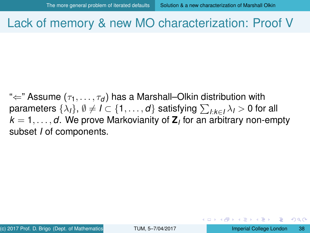### <span id="page-37-0"></span>Lack of memory & new MO characterization: Proof V

" $\Leftarrow$ " Assume ( $\tau_1, \ldots, \tau_d$ ) has a Marshall–Olkin distribution with parameters  $\{\lambda_l\},\,\emptyset\neq I\subset \{1,\ldots,d\}$  satisfying  $\sum_{l:k\in I}\lambda_l>0$  for all  $k=1,\ldots,d.$  We prove Markovianity of  $\textbf{Z}_l$  for an arbitrary non-empty subset *I* of components.

. . . . **.** 

 $\Omega$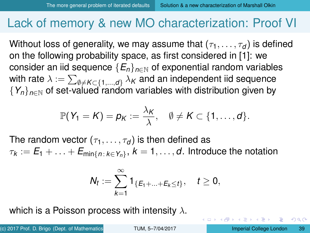### <span id="page-38-0"></span>Lack of memory & new MO characterization: Proof VI

Without loss of generality, we may assume that  $(\tau_1, \ldots, \tau_d)$  is defined on the following probability space, as first considered in [\[1\]](#page-43-1): we consider an iid sequence  ${E_n}_{n\in\mathbb{N}}$  of exponential random variables with rate  $\lambda:=\sum_{\emptyset\neq\pmb{K}\subset\{1,...,d\}}\lambda_{\pmb{K}}$  and an independent iid sequence  ${Y_n}_{n \in \mathbb{N}}$  of set-valued random variables with distribution given by

$$
\mathbb{P}(Y_1 = K) = p_K := \frac{\lambda_K}{\lambda}, \quad \emptyset \neq K \subset \{1, \ldots, d\}.
$$

The random vector  $(\tau_1, \ldots, \tau_d)$  is then defined as  $\tau_k := E_1 + \ldots + E_{\mathsf{min}\{n \, : \, k \in \mathsf{Y}_n\}}, \, k = 1, \ldots, d.$  Introduce the notation

$$
N_t := \sum_{k=1}^{\infty} 1_{\{E_1 + \ldots + E_k \le t\}}, \quad t \ge 0,
$$

which is a Poisson process with intensity  $\lambda$ .

(c) 2017 Prof. D. Brigo (Dept. of Mathematics **ICL) [TUM, 5–7/04/2017](#page-0-0)** Imperial College London 39

 $\Omega$ 

4 0 8 4 4 9 8 4 9 8 4 9 8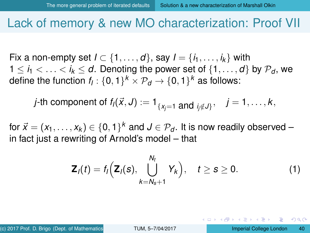### <span id="page-39-0"></span>Lack of memory & new MO characterization: Proof VII

Fix a non-empty set  $I \subset \{1, \ldots, d\}$ , say  $I = \{i_1, \ldots, i_k\}$  with  $1 \leq i_1 \leq \ldots \leq i_k \leq d$ . Denoting the power set of  $\{1, \ldots, d\}$  by  $\mathcal{P}_d$ , we define the function  $f_{\!I}$  :  $\{0,1\}^k \times \mathcal{P}_{\sf d} \to \{0,1\}^k$  as follows:

*j*-th component of 
$$
f_i(\vec{x}, J) := 1_{\{x_j=1 \text{ and } j_j \notin J\}}, \quad j = 1, \ldots, k,
$$

for  $\vec{x} = (x_1, \ldots, x_k) \in \{0, 1\}^k$  and  $J \in \mathcal{P}_d.$  It is now readily observed – in fact just a rewriting of Arnold's model – that

$$
\mathbf{Z}_l(t) = f_l\Big(\mathbf{Z}_l(s), \bigcup_{k=N_s+1}^{N_t} Y_k\Big), \quad t \geq s \geq 0. \tag{1}
$$

<span id="page-39-1"></span> $\Omega$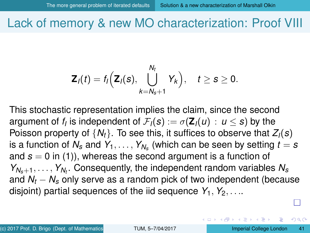<span id="page-40-0"></span>Lack of memory & new MO characterization: Proof VIII

$$
\mathbf{Z}_l(t)=f_l\Big(\mathbf{Z}_l(s),\bigcup_{k=N_s+1}^{N_t}Y_k\Big),\quad t\geq s\geq 0.
$$

This stochastic representation implies the claim, since the second argument of  $f_l$  is independent of  $\mathcal{F}_l(\boldsymbol{s}) := \sigma(\mathbf{Z}_l(u) \, : \, u \leq \boldsymbol{s})$  by the Poisson property of  $\{N_t\}$ . To see this, it suffices to observe that  $Z_i(s)$ is a function of  $\mathcal{N}_\mathcal{s}$  and  $\mathcal{Y}_1,\ldots,\mathcal{Y}_{\mathcal{N}_\mathcal{s}}$  (which can be seen by setting  $t=\mathcal{s}$ and  $s = 0$  in [\(1\)](#page-39-1)), whereas the second argument is a function of *YNs*+1, . . . , *YN<sup>t</sup>* . Consequently, the independent random variables *N<sup>s</sup>* and *N<sup>t</sup>* − *N<sup>s</sup>* only serve as a random pick of two independent (because disjoint) partial sequences of the iid sequence  $Y_1, Y_2, \ldots$ 

 $\Omega$ 

イロト イ押 トイヨ トイヨ トー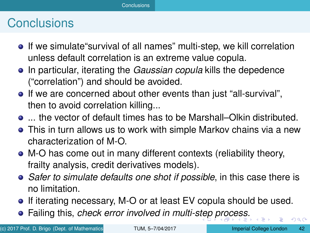### <span id="page-41-0"></span>**Conclusions**

- **If** we simulate survival of all names" multi-step, we kill correlation unless default correlation is an extreme value copula.
- **•** In particular, iterating the *Gaussian copula* kills the depedence ("correlation") and should be avoided.
- If we are concerned about other events than just "all-survival", then to avoid correlation killing...
- ... the vector of default times has to be Marshall–Olkin distributed.
- This in turn allows us to work with simple Markov chains via a new characterization of M-O.
- M-O has come out in many different contexts (reliability theory, frailty analysis, credit derivatives models).
- *Safer to simulate defaults one shot if possible*, in this case there is no limitation.
- If iterating necessary, M-O or at least EV copula should be used.
- Failing this, *check error involved in multi-s[te](#page-40-0)[p p](#page-42-0)[r](#page-40-0)[oc](#page-41-0)[e](#page-42-0)[s](#page-40-0)[s](#page-42-0)*[.](#page-43-0)

(c) 2017 Prof. D. Brigo (Dept. of Mathematics **ICLO 1998** Imperial College London 42

 $\cap$   $\cap$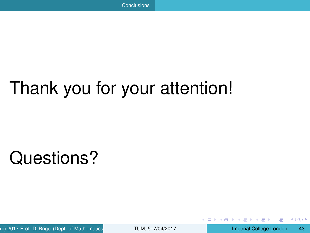# <span id="page-42-0"></span>Thank you for your attention!

# Questions?

(c) 2017 Prof. D. Brigo (Dept. of Mathematics **ICLO 1998** Imperial College London 43

 $\Omega$ 

**A** The

E.

4 0 8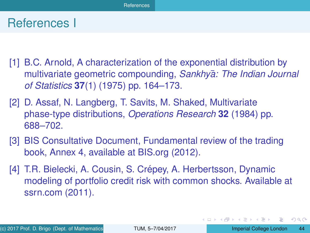### <span id="page-43-0"></span>References I

- <span id="page-43-1"></span>[1] B.C. Arnold, A characterization of the exponential distribution by multivariate geometric compounding, *Sankhya: The Indian Journal* ¯ *of Statistics* **37**(1) (1975) pp. 164–173.
- [2] D. Assaf, N. Langberg, T. Savits, M. Shaked, Multivariate phase-type distributions, *Operations Research* **32** (1984) pp. 688–702.
- [3] BIS Consultative Document, Fundamental review of the trading book, Annex 4, available at BIS.org (2012).
- [4] T.R. Bielecki, A. Cousin, S. Crépey, A. Herbertsson, Dynamic modeling of portfolio credit risk with common shocks. Available at ssrn.com (2011).

G.

 $\Omega$ 

イロト イ押ト イヨト イヨトー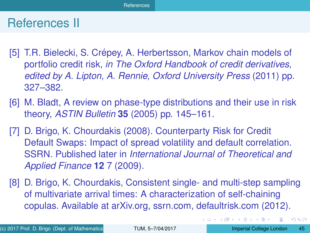### <span id="page-44-2"></span>References II

- [5] T.R. Bielecki, S. Crépey, A. Herbertsson, Markov chain models of portfolio credit risk, *in The Oxford Handbook of credit derivatives, edited by A. Lipton, A. Rennie, Oxford University Press* (2011) pp. 327–382.
- [6] M. Bladt, A review on phase-type distributions and their use in risk theory, *ASTIN Bulletin* **35** (2005) pp. 145–161.
- <span id="page-44-1"></span>[7] D. Brigo, K. Chourdakis (2008). Counterparty Risk for Credit Default Swaps: Impact of spread volatility and default correlation. SSRN. Published later in *International Journal of Theoretical and Applied Finance* **12** 7 (2009).
- <span id="page-44-0"></span>[8] D. Brigo, K. Chourdakis, Consistent single- and multi-step sampling of multivariate arrival times: A characterization of self-chaining copulas. Available at arXiv.org, ssrn.com, defaultrisk.com (2012).

 $\Omega$ 

イロト イ押ト イヨト イヨト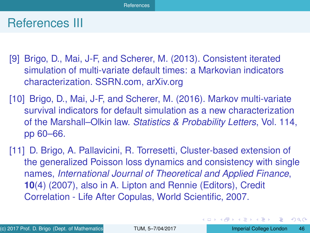### <span id="page-45-2"></span>References III

- <span id="page-45-0"></span>[9] Brigo, D., Mai, J-F, and Scherer, M. (2013). Consistent iterated simulation of multi-variate default times: a Markovian indicators characterization. SSRN.com, arXiv.org
- <span id="page-45-1"></span>[10] Brigo, D., Mai, J-F, and Scherer, M. (2016). Markov multi-variate survival indicators for default simulation as a new characterization of the Marshall–Olkin law. *Statistics & Probability Letters*, Vol. 114, pp 60–66.
- [11] D. Brigo, A. Pallavicini, R. Torresetti, Cluster-based extension of the generalized Poisson loss dynamics and consistency with single names, *International Journal of Theoretical and Applied Finance*, **10**(4) (2007), also in A. Lipton and Rennie (Editors), Credit Correlation - Life After Copulas, World Scientific, 2007.

E

 $\Omega$ 

イロト イ押 トイヨ トイヨ トー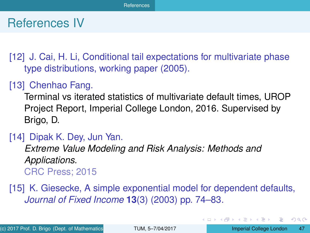### <span id="page-46-2"></span>References IV

[12] J. Cai, H. Li, Conditional tail expectations for multivariate phase type distributions, working paper (2005).

### <span id="page-46-0"></span>[13] Chenhao Fang.

Terminal vs iterated statistics of multivariate default times, UROP Project Report, Imperial College London, 2016. Supervised by Brigo, D.

#### <span id="page-46-1"></span>[14] Dipak K. Dey, Jun Yan.

*Extreme Value Modeling and Risk Analysis: Methods and Applications.* CRC Press; 2015

[15] K. Giesecke, A simple exponential model for dependent defaults, *Journal of Fixed Income* **13**(3) (2003) pp. 74–83.

G.

 $\Omega$ 

イロト イ押ト イヨト イヨトー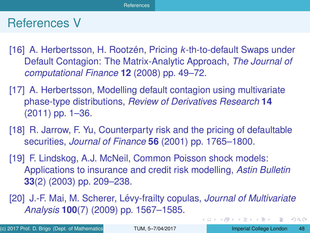### <span id="page-47-0"></span>References V

- [16] A. Herbertsson, H. Rootzén, Pricing *k*-th-to-default Swaps under Default Contagion: The Matrix-Analytic Approach, *The Journal of computational Finance* **12** (2008) pp. 49–72.
- [17] A. Herbertsson, Modelling default contagion using multivariate phase-type distributions, *Review of Derivatives Research* **14** (2011) pp. 1–36.
- [18] R. Jarrow, F. Yu, Counterparty risk and the pricing of defaultable securities, *Journal of Finance* **56** (2001) pp. 1765–1800.
- [19] F. Lindskog, A.J. McNeil, Common Poisson shock models: Applications to insurance and credit risk modelling, *Astin Bulletin* **33**(2) (2003) pp. 209–238.
- [20] J.-F. Mai, M. Scherer, Levy-frailty copulas, ´ *Journal of Multivariate Analysis* **100**(7) (2009) pp. 1567–1585.

в

 $\Omega$ 

イロト イ押 トイヨ トイヨ トー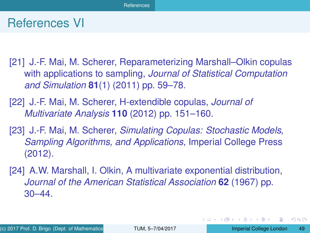### <span id="page-48-1"></span>References VI

- [21] J.-F. Mai, M. Scherer, Reparameterizing Marshall–Olkin copulas with applications to sampling, *Journal of Statistical Computation and Simulation* **81**(1) (2011) pp. 59–78.
- [22] J.-F. Mai, M. Scherer, H-extendible copulas, *Journal of Multivariate Analysis* **110** (2012) pp. 151–160.
- [23] J.-F. Mai, M. Scherer, *Simulating Copulas: Stochastic Models, Sampling Algorithms, and Applications*, Imperial College Press (2012).
- <span id="page-48-0"></span>[24] A.W. Marshall, I. Olkin, A multivariate exponential distribution, *Journal of the American Statistical Association* **62** (1967) pp. 30–44.

G.

 $\Omega$ 

イロト イ押ト イヨト イヨトー